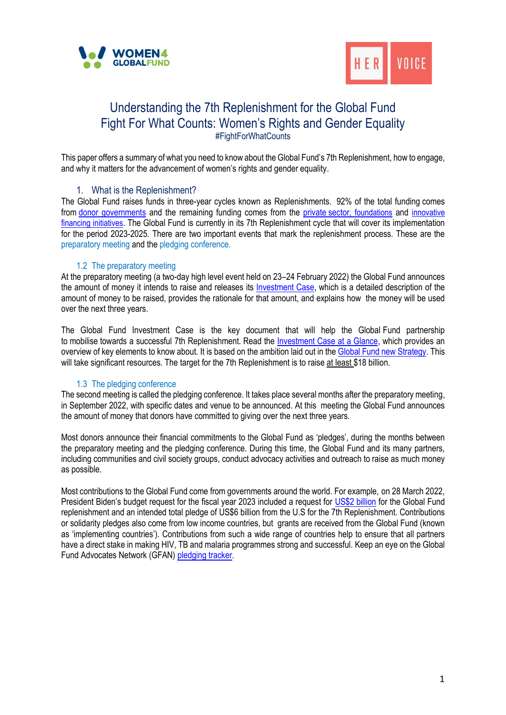



# Understanding the 7th Replenishment for the Global Fund Fight For What Counts: Women's Rights and Gender Equality #FightForWhatCounts

This paper offers a summary of what you need to know about the Global Fund's 7th Replenishment, how to engage, and why it matters for the advancement of women's rights and gender equality.

### 1. What is the Replenishment?

The Global Fund raises funds in three-year cycles known as Replenishments. 92% of the total funding comes from [donor governments](https://www.theglobalfund.org/en/government/) and the remaining funding comes from the [private](https://www.theglobalfund.org/en/private-ngo-partners/) [sector](https://www.theglobalfund.org/en/private-ngo-partners/), [foundations](https://www.theglobalfund.org/en/private-ngo-partners/resource-mobilization/) and [innovative](https://www.theglobalfund.org/en/private-ngo-partners/innovative-finance/)  [financing initiatives](https://www.theglobalfund.org/en/private-ngo-partners/innovative-finance/). The Global Fund is currently in its 7th Replenishment cycle that will cover its implementation for the period 2023-2025. There are two important events that mark the replenishment process. These are the preparatory meeting and the pledging conference.

#### 1.2 The preparatory meeting

At the preparatory meeting (a two-day high level event held on 23–24 February 2022) the Global Fund announces the amount of money it intends to raise and releases its [Investment Case,](https://www.theglobalfund.org/en/fight-for-what-counts/) which is a detailed description of the amount of money to be raised, provides the rationale for that amount, and explains how the money will be used over the next three years.

The Global Fund Investment Case is the key document that will help the Global Fund partnership to mobilise towards a successful 7th Replenishment. Read the [Investment Case at a Glance,](https://www.theglobalfund.org/media/11926/publication_seventh-replenishment-investment-case_overview_en.pdf) which provides an overview of key elements to know about. It is based on the ambition laid out in th[e Global Fund](https://www.theglobalfund.org/media/11612/strategy_globalfund2023-2028_narrative_en.pdf) new Strategy. This will take significant resources. The target for the 7th Replenishment is to raise at least \$18 billion.

#### 1.3 The pledging conference

The second meeting is called the pledging conference. It takes place several months after the preparatory meeting, in September 2022, with specific dates and venue to be announced. At this meeting the Global Fund announces the amount of money that donors have committed to giving over the next three years.

Most donors announce their financial commitments to the Global Fund as 'pledges', during the months between the preparatory meeting and the pledging conference. During this time, the Global Fund and its many partners, including communities and civil society groups, conduct advocacy activities and outreach to raise as much money as possible.

Most contributions to the Global Fund come from governments around the world. For example, on 28 March 2022, President Biden's budget request for the fiscal year 2023 included a request for [US\\$2 billion](https://www.globalfundadvocatesnetwork.org/the-u-s-president-requests-us2-billion-for-the-global-fund-in-2023/) for the Global Fund replenishment and an intended total pledge of US\$6 billion from the U.S for the 7th Replenishment. Contributions or solidarity pledges also come from low income countries, but grants are received from the Global Fund (known as 'implementing countries'). Contributions from such a wide range of countries help to ensure that all partners have a direct stake in making HIV, TB and malaria programmes strong and successful. Keep an eye on the Global Fund Advocates Network (GFAN) [pledging tracker.](https://www.globalfundadvocatesnetwork.org/gfan-pledge-tracker/)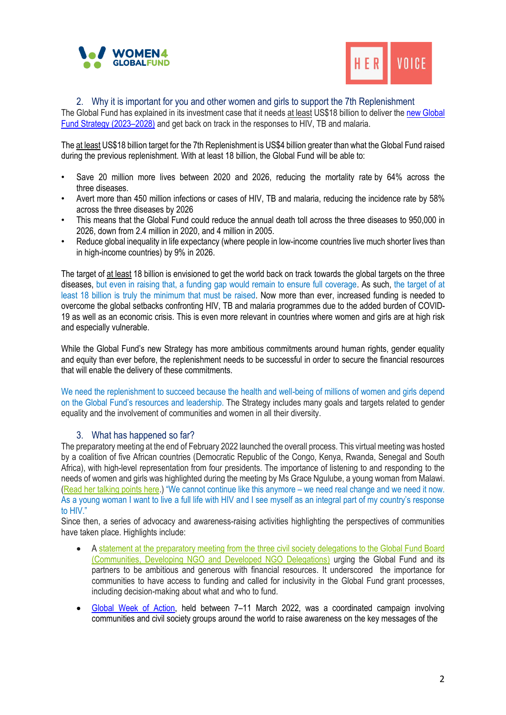



2. Why it is important for you and other women and girls to support the 7th Replenishment

The Global Fund has explained in its investment case that it needs at least US\$18 billion to deliver th[e new Global](https://www.theglobalfund.org/en/strategy/)  [Fund Strategy \(2023](https://www.theglobalfund.org/en/strategy/)–2028) and get back on track in the responses to HIV, TB and malaria.

The at least US\$18 billion target for the 7th Replenishment is US\$4 billion greater than what the Global Fund raised during the previous replenishment. With at least 18 billion, the Global Fund will be able to:

- Save 20 million more lives between 2020 and 2026, reducing the mortality rate by 64% across the three diseases.
- Avert more than 450 million infections or cases of HIV, TB and malaria, reducing the incidence rate by 58% across the three diseases by 2026
- This means that the Global Fund could reduce the annual death toll across the three diseases to 950,000 in 2026, down from 2.4 million in 2020, and 4 million in 2005.
- Reduce global inequality in life expectancy (where people in low-income countries live much shorter lives than in high-income countries) by 9% in 2026.

The target of at least 18 billion is envisioned to get the world back on track towards the global targets on the three diseases, but even in raising that, a funding gap would remain to ensure full coverage. As such, the target of at least 18 billion is truly the minimum that must be raised. Now more than ever, increased funding is needed to overcome the global setbacks confronting HIV, TB and malaria programmes due to the added burden of COVID-19 as well as an economic crisis. This is even more relevant in countries where women and girls are at high risk and especially vulnerable.

While the Global Fund's new Strategy has more ambitious commitments around human rights, gender equality and equity than ever before, the replenishment needs to be successful in order to secure the financial resources that will enable the delivery of these commitments.

We need the replenishment to succeed because the health and well-being of millions of women and girls depend on the Global Fund's resources and leadership. The Strategy includes many goals and targets related to gender equality and the involvement of communities and women in all their diversity.

# 3. What has happened so far?

The preparatory meeting at the end of February 2022 launched the overall process. This virtual meeting was hosted by a coalition of five African countries (Democratic Republic of the Congo, Kenya, Rwanda, Senegal and South Africa), with high-level representation from four presidents. The importance of listening to and responding to the needs of women and girls was highlighted during the meeting by Ms Grace Ngulube, a young woman from Malawi. [\(Read her talking points here.](https://women4gf.org/wp-content/uploads/2022/03/Preparatory-Meeting-of-the-Global-Fund_Grace-Ngulubes-TPs_21Feb-FINAL.pdf)) "We cannot continue like this anymore – we need real change and we need it now. As a young woman I want to live a full life with HIV and I see myself as an integral part of my country's response to HIV."

Since then, a series of advocacy and awareness-raising activities highlighting the perspectives of communities have taken place. Highlights include:

- A [statement at the preparatory meeting from the three civil society delegations to the Global Fund Board](https://www.globalfundadvocatesnetwork.org/statement-at-the-7th-replenishment-preparatory-meeting-from-the-communities-developing-ngo-and-developed-ngo-delegations-to-the-global-fund-board/)  [\(Communities, Developing NGO and Developed NGO Delegations\)](https://www.globalfundadvocatesnetwork.org/statement-at-the-7th-replenishment-preparatory-meeting-from-the-communities-developing-ngo-and-developed-ngo-delegations-to-the-global-fund-board/) urging the Global Fund and its partners to be ambitious and generous with financial resources. It underscored the importance for communities to have access to funding and called for inclusivity in the Global Fund grant processes, including decision-making about what and who to fund.
- [Global Week of Action,](https://gfanasiapacific.org/powerofmore/global-week-of-action/) held between 7–11 March 2022, was a coordinated campaign involving communities and civil society groups around the world to raise awareness on the key messages of the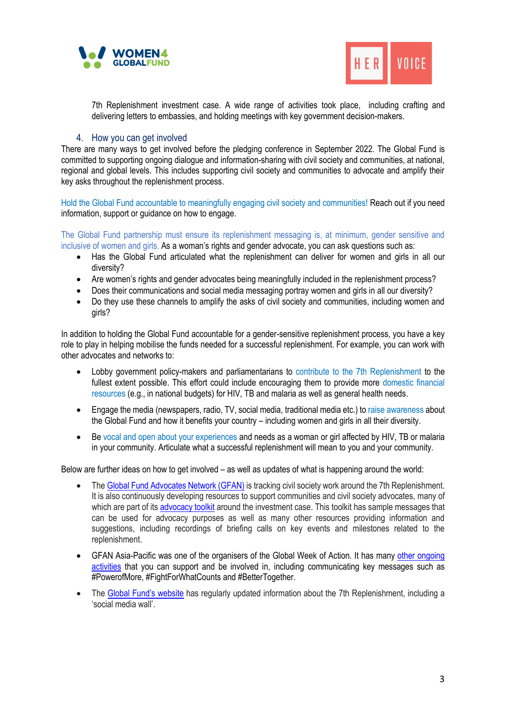



7th Replenishment investment case. A wide range of activities took place, including crafting and delivering letters to embassies, and holding meetings with key government decision-makers.

## 4. How you can get involved

There are many ways to get involved before the pledging conference in September 2022. The Global Fund is committed to supporting ongoing dialogue and information-sharing with civil society and communities, at national, regional and global levels. This includes supporting civil society and communities to advocate and amplify their key asks throughout the replenishment process.

Hold the Global Fund accountable to meaningfully engaging civil society and communities! Reach out if you need information, support or guidance on how to engage.

The Global Fund partnership must ensure its replenishment messaging is, at minimum, gender sensitive and inclusive of women and girls. As a woman's rights and gender advocate, you can ask questions such as:

- Has the Global Fund articulated what the replenishment can deliver for women and girls in all our diversity?
- Are women's rights and gender advocates being meaningfully included in the replenishment process?
- Does their communications and social media messaging portray women and girls in all our diversity?
- Do they use these channels to amplify the asks of civil society and communities, including women and girls?

In addition to holding the Global Fund accountable for a gender-sensitive replenishment process, you have a key role to play in helping mobilise the funds needed for a successful replenishment. For example, you can work with other advocates and networks to:

- Lobby government policy-makers and parliamentarians to contribute to the 7th Replenishment to the fullest extent possible. This effort could include encouraging them to provide more domestic financial resources (e.g., in national budgets) for HIV, TB and malaria as well as general health needs.
- Engage the media (newspapers, radio, TV, social media, traditional media etc.) to raise awareness about the Global Fund and how it benefits your country – including women and girls in all their diversity.
- Be vocal and open about your experiences and needs as a woman or girl affected by HIV, TB or malaria in your community. Articulate what a successful replenishment will mean to you and your community.

Below are further ideas on how to get involved – as well as updates of what is happening around the world:

- The [Global Fund Advocates Network](https://women4gf.us20.list-manage.com/track/click?u=7694fdec07793ad302219611e&id=f2d8fcf798&e=c2175a527f) (GFAN) is tracking civil society work around the 7th Replenishment. It is also continuously developing resources to support communities and civil society advocates, many of which are part of it[s advocacy toolkit](https://www.globalfundadvocatesnetwork.org/preparatory-meeting-investment-case-advocacy-toolkit/) around the investment case. This toolkit has sample messages that can be used for advocacy purposes as well as many other resources providing information and suggestions, including recordings of briefing calls on key events and milestones related to the replenishment.
- GFAN Asia-Pacific was one of the organisers of the Global Week of Action. It has many [other ongoing](https://gfanasiapacific.org/powerofmore)  [activities](https://gfanasiapacific.org/powerofmore) that you can support and be involved in, including communicating key messages such as #PowerofMore, #FightForWhatCounts and #BetterTogether.
- The [Global Fund's website](https://www.theglobalfund.org/en/seventh-replenishment/#:~:text=20%20years%20after%20the%20Global,to%20save%2020%20million%20lives.) has regularly updated information about the 7th Replenishment, including a 'social media wall'.